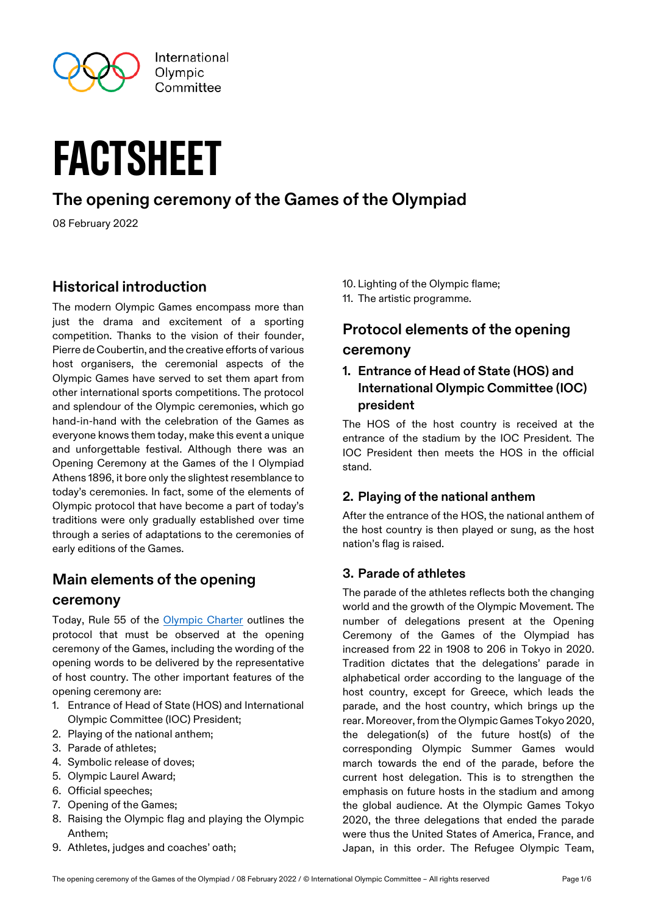

# **FACTSHEET**

# **The opening ceremony of the Games of the Olympiad**

08 February 2022

## **Historical introduction**

The modern Olympic Games encompass more than just the drama and excitement of a sporting competition. Thanks to the vision of their founder, Pierre de Coubertin, and the creative efforts of various host organisers, the ceremonial aspects of the Olympic Games have served to set them apart from other international sports competitions. The protocol and splendour of the Olympic ceremonies, which go hand-in-hand with the celebration of the Games as everyone knows them today, make this event a unique and unforgettable festival. Although there was an Opening Ceremony at the Games of the I Olympiad Athens 1896, it bore only the slightest resemblance to today's ceremonies. In fact, some of the elements of Olympic protocol that have become a part of today's traditions were only gradually established over time through a series of adaptations to the ceremonies of early editions of the Games.

# **Main elements of the opening**

#### **ceremony**

Today, Rule 55 of the [Olympic Charter](https://stillmed.olympic.org/media/Document%20Library/OlympicOrg/General/EN-Olympic-Charter.pdf#page=96) outlines the protocol that must be observed at the opening ceremony of the Games, including the wording of the opening words to be delivered by the representative of host country. The other important features of the opening ceremony are:

- 1. Entrance of Head of State (HOS) and International Olympic Committee (IOC) President;
- 2. Playing of the national anthem;
- 3. Parade of athletes;
- 4. Symbolic release of doves;
- 5. Olympic Laurel Award;
- 6. Official speeches;
- 7. Opening of the Games;
- 8. Raising the Olympic flag and playing the Olympic Anthem;
- 9. Athletes, judges and coaches' oath;
- 10. Lighting of the Olympic flame;
- 11. The artistic programme.

# **Protocol elements of the opening ceremony**

**1. Entrance of Head of State (HOS) and International Olympic Committee (IOC) president** 

The HOS of the host country is received at the entrance of the stadium by the IOC President. The IOC President then meets the HOS in the official stand.

## **2. Playing of the national anthem**

After the entrance of the HOS, the national anthem of the host country is then played or sung, as the host nation's flag is raised.

## **3. Parade of athletes**

The parade of the athletes reflects both the changing world and the growth of the Olympic Movement. The number of delegations present at the Opening Ceremony of the Games of the Olympiad has increased from 22 in 1908 to 206 in Tokyo in 2020. Tradition dictates that the delegations' parade in alphabetical order according to the language of the host country, except for Greece, which leads the parade, and the host country, which brings up the rear. Moreover, from the Olympic Games Tokyo 2020, the delegation(s) of the future host(s) of the corresponding Olympic Summer Games would march towards the end of the parade, before the current host delegation. This is to strengthen the emphasis on future hosts in the stadium and among the global audience. At the Olympic Games Tokyo 2020, the three delegations that ended the parade were thus the United States of America, France, and Japan, in this order. The Refugee Olympic Team,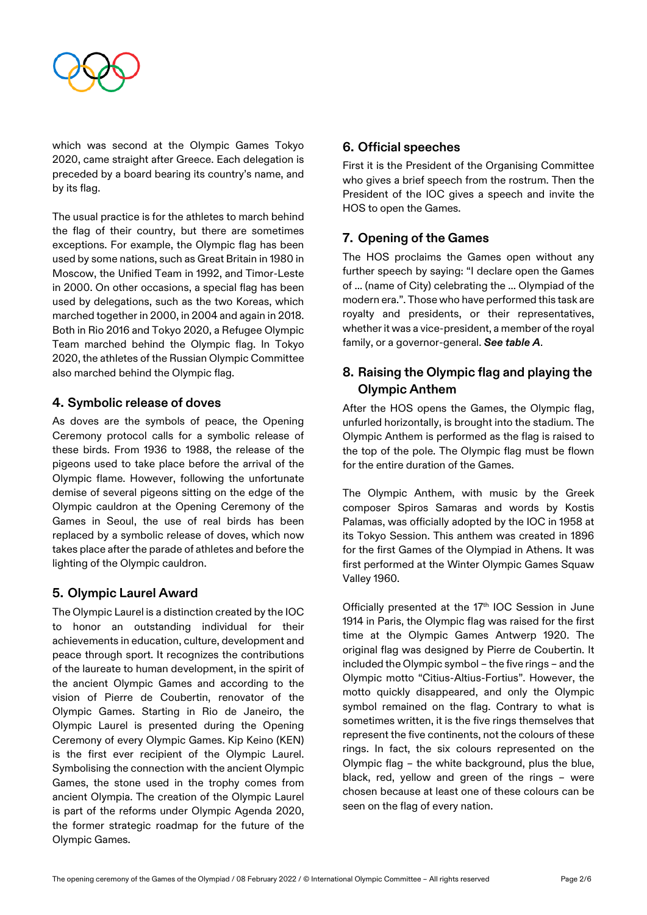

which was second at the Olympic Games Tokyo 2020, came straight after Greece. Each delegation is preceded by a board bearing its country's name, and by its flag.

The usual practice is for the athletes to march behind the flag of their country, but there are sometimes exceptions. For example, the Olympic flag has been used by some nations, such as Great Britain in 1980 in Moscow, the Unified Team in 1992, and Timor-Leste in 2000. On other occasions, a special flag has been used by delegations, such as the two Koreas, which marched together in 2000, in 2004 and again in 2018. Both in Rio 2016 and Tokyo 2020, a Refugee Olympic Team marched behind the Olympic flag. In Tokyo 2020, the athletes of the Russian Olympic Committee also marched behind the Olympic flag.

#### **4. Symbolic release of doves**

As doves are the symbols of peace, the Opening Ceremony protocol calls for a symbolic release of these birds. From 1936 to 1988, the release of the pigeons used to take place before the arrival of the Olympic flame. However, following the unfortunate demise of several pigeons sitting on the edge of the Olympic cauldron at the Opening Ceremony of the Games in Seoul, the use of real birds has been replaced by a symbolic release of doves, which now takes place after the parade of athletes and before the lighting of the Olympic cauldron.

#### **5. Olympic Laurel Award**

The Olympic Laurel is a distinction created by the IOC to honor an outstanding individual for their achievements in education, culture, development and peace through sport. It recognizes the contributions of the laureate to human development, in the spirit of the ancient Olympic Games and according to the vision of Pierre de Coubertin, renovator of the Olympic Games. Starting in Rio de Janeiro, the Olympic Laurel is presented during the Opening Ceremony of every Olympic Games. Kip Keino (KEN) is the first ever recipient of the Olympic Laurel. Symbolising the connection with the ancient Olympic Games, the stone used in the trophy comes from ancient Olympia. The creation of the Olympic Laurel is part of the reforms under Olympic Agenda 2020, the former strategic roadmap for the future of the Olympic Games.

#### **6. Official speeches**

First it is the President of the Organising Committee who gives a brief speech from the rostrum. Then the President of the IOC gives a speech and invite the HOS to open the Games.

## **7. Opening of the Games**

The HOS proclaims the Games open without any further speech by saying: "I declare open the Games of ... (name of City) celebrating the ... Olympiad of the modern era.". Those who have performed this task are royalty and presidents, or their representatives, whether it was a vice-president, a member of the royal family, or a governor-general. *See table A*.

#### **8. Raising the Olympic flag and playing the Olympic Anthem**

After the HOS opens the Games, the Olympic flag, unfurled horizontally, is brought into the stadium. The Olympic Anthem is performed as the flag is raised to the top of the pole. The Olympic flag must be flown for the entire duration of the Games.

The Olympic Anthem, with music by the Greek composer Spiros Samaras and words by Kostis Palamas, was officially adopted by the IOC in 1958 at its Tokyo Session. This anthem was created in 1896 for the first Games of the Olympiad in Athens. It was first performed at the Winter Olympic Games Squaw Valley 1960.

Officially presented at the 17<sup>th</sup> IOC Session in June 1914 in Paris, the Olympic flag was raised for the first time at the Olympic Games Antwerp 1920. The original flag was designed by Pierre de Coubertin. It included the Olympic symbol – the five rings – and the Olympic motto "Citius-Altius-Fortius". However, the motto quickly disappeared, and only the Olympic symbol remained on the flag. Contrary to what is sometimes written, it is the five rings themselves that represent the five continents, not the colours of these rings. In fact, the six colours represented on the Olympic flag – the white background, plus the blue, black, red, yellow and green of the rings – were chosen because at least one of these colours can be seen on the flag of every nation.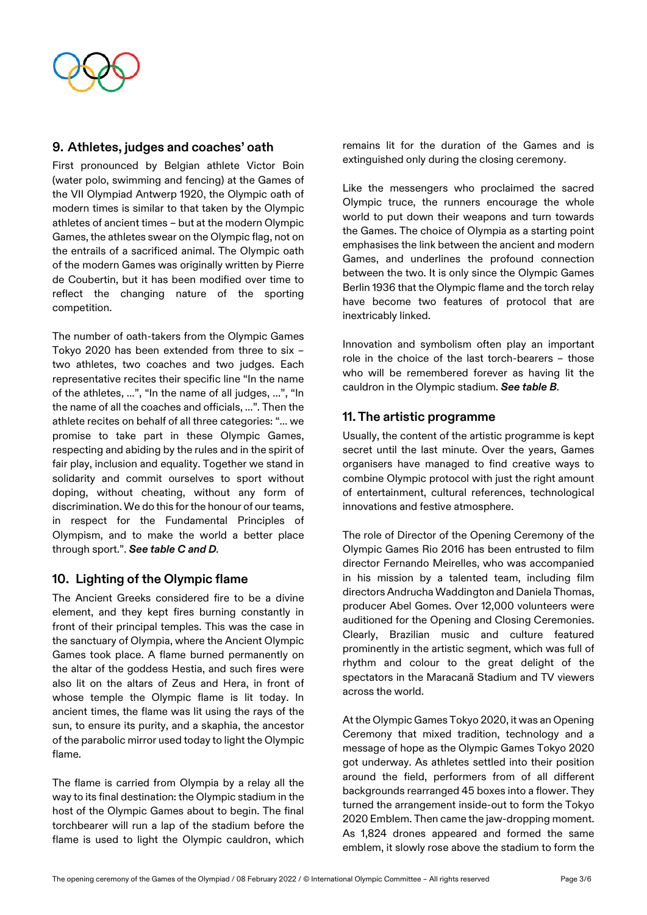

#### **9. Athletes, judges and coaches' oath**

First pronounced by Belgian athlete Victor Boin (water polo, swimming and fencing) at the Games of the VII Olympiad Antwerp 1920, the Olympic oath of modern times is similar to that taken by the Olympic athletes of ancient times – but at the modern Olympic Games, the athletes swear on the Olympic flag, not on the entrails of a sacrificed animal. The Olympic oath of the modern Games was originally written by Pierre de Coubertin, but it has been modified over time to reflect the changing nature of the sporting competition.

The number of oath-takers from the Olympic Games Tokyo 2020 has been extended from three to six – two athletes, two coaches and two judges. Each representative recites their specific line "In the name of the athletes, …", "In the name of all judges, …", "In the name of all the coaches and officials, …". Then the athlete recites on behalf of all three categories: "… we promise to take part in these Olympic Games, respecting and abiding by the rules and in the spirit of fair play, inclusion and equality. Together we stand in solidarity and commit ourselves to sport without doping, without cheating, without any form of discrimination. We do this for the honour of our teams, in respect for the Fundamental Principles of Olympism, and to make the world a better place through sport.". *See table C and D.*

#### **10. Lighting of the Olympic flame**

The Ancient Greeks considered fire to be a divine element, and they kept fires burning constantly in front of their principal temples. This was the case in the sanctuary of Olympia, where the Ancient Olympic Games took place. A flame burned permanently on the altar of the goddess Hestia, and such fires were also lit on the altars of Zeus and Hera, in front of whose temple the Olympic flame is lit today. In ancient times, the flame was lit using the rays of the sun, to ensure its purity, and a skaphia, the ancestor of the parabolic mirror used today to light the Olympic flame.

The flame is carried from Olympia by a relay all the way to its final destination: the Olympic stadium in the host of the Olympic Games about to begin. The final torchbearer will run a lap of the stadium before the flame is used to light the Olympic cauldron, which

remains lit for the duration of the Games and is extinguished only during the closing ceremony.

Like the messengers who proclaimed the sacred Olympic truce, the runners encourage the whole world to put down their weapons and turn towards the Games. The choice of Olympia as a starting point emphasises the link between the ancient and modern Games, and underlines the profound connection between the two. It is only since the Olympic Games Berlin 1936 that the Olympic flame and the torch relay have become two features of protocol that are inextricably linked.

Innovation and symbolism often play an important role in the choice of the last torch-bearers – those who will be remembered forever as having lit the cauldron in the Olympic stadium. *See table B*.

#### **11. The artistic programme**

Usually, the content of the artistic programme is kept secret until the last minute. Over the years, Games organisers have managed to find creative ways to combine Olympic protocol with just the right amount of entertainment, cultural references, technological innovations and festive atmosphere.

The role of Director of the Opening Ceremony of the Olympic Games Rio 2016 has been entrusted to film director Fernando Meirelles, who was accompanied in his mission by a talented team, including film directors Andrucha Waddington and Daniela Thomas, producer Abel Gomes. Over 12,000 volunteers were auditioned for the Opening and Closing Ceremonies. Clearly, Brazilian music and culture featured prominently in the artistic segment, which was full of rhythm and colour to the great delight of the spectators in the Maracanã Stadium and TV viewers across the world.

At the Olympic Games Tokyo 2020, it was an Opening Ceremony that mixed tradition, technology and a message of hope as the Olympic Games Tokyo 2020 got underway. As athletes settled into their position around the field, performers from of all different backgrounds rearranged 45 boxes into a flower. They turned the arrangement inside-out to form the Tokyo 2020 Emblem. Then came the jaw-dropping moment. As 1,824 drones appeared and formed the same emblem, it slowly rose above the stadium to form the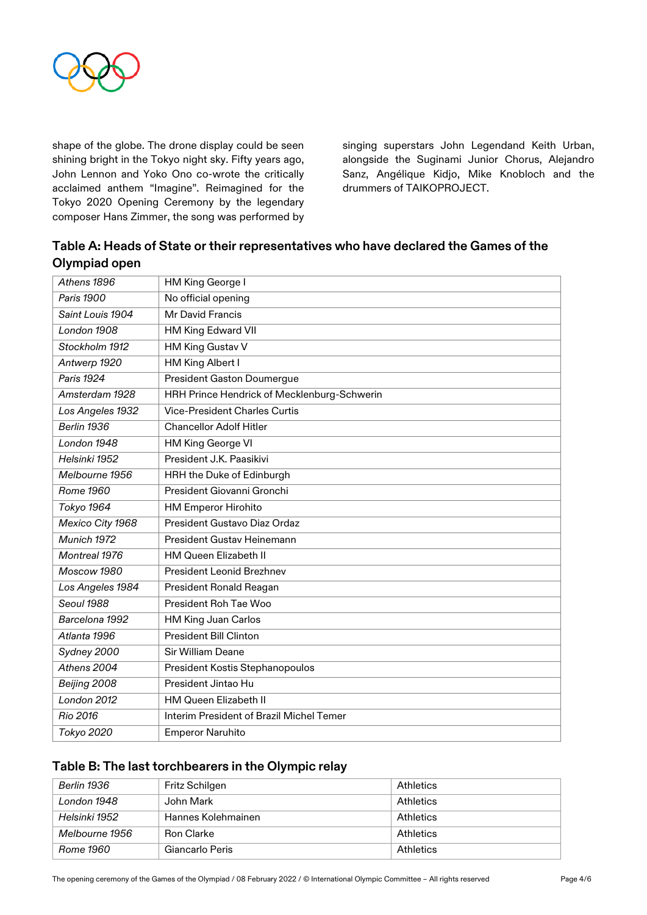

shape of the globe. The drone display could be seen shining bright in the Tokyo night sky. Fifty years ago, John Lennon and Yoko Ono co-wrote the critically acclaimed anthem "Imagine". Reimagined for the Tokyo 2020 Opening Ceremony by the legendary composer Hans Zimmer, the song was performed by singing superstars John Legendand Keith Urban, alongside the Suginami Junior Chorus, Alejandro Sanz, Angélique Kidjo, Mike Knobloch and the drummers of TAIKOPROJECT.

| Table A: Heads of State or their representatives who have declared the Games of the |
|-------------------------------------------------------------------------------------|
| Olympiad open                                                                       |

| Athens 1896      | HM King George I                            |
|------------------|---------------------------------------------|
| Paris 1900       | No official opening                         |
| Saint Louis 1904 | Mr David Francis                            |
| London 1908      | HM King Edward VII                          |
| Stockholm 1912   | HM King Gustav V                            |
| Antwerp 1920     | HM King Albert I                            |
| Paris 1924       | <b>President Gaston Doumergue</b>           |
| Amsterdam 1928   | HRH Prince Hendrick of Mecklenburg-Schwerin |
| Los Angeles 1932 | <b>Vice-President Charles Curtis</b>        |
| Berlin 1936      | <b>Chancellor Adolf Hitler</b>              |
| London 1948      | HM King George VI                           |
| Helsinki 1952    | President J.K. Paasikivi                    |
| Melbourne 1956   | HRH the Duke of Edinburgh                   |
| <b>Rome 1960</b> | President Giovanni Gronchi                  |
| Tokyo 1964       | <b>HM Emperor Hirohito</b>                  |
| Mexico City 1968 | President Gustavo Diaz Ordaz                |
| Munich 1972      | President Gustav Heinemann                  |
| Montreal 1976    | <b>HM Queen Elizabeth II</b>                |
| Moscow 1980      | <b>President Leonid Brezhnev</b>            |
| Los Angeles 1984 | President Ronald Reagan                     |
| Seoul 1988       | President Roh Tae Woo                       |
| Barcelona 1992   | HM King Juan Carlos                         |
| Atlanta 1996     | <b>President Bill Clinton</b>               |
| Sydney 2000      | <b>Sir William Deane</b>                    |
| Athens 2004      | President Kostis Stephanopoulos             |
| Beijing 2008     | President Jintao Hu                         |
| London 2012      | HM Queen Elizabeth II                       |
| Rio 2016         | Interim President of Brazil Michel Temer    |
| Tokyo 2020       | <b>Emperor Naruhito</b>                     |

#### **Table B: The last torchbearers in the Olympic relay**

| Berlin 1936    | Fritz Schilgen     | Athletics |
|----------------|--------------------|-----------|
| London 1948    | John Mark          | Athletics |
| Helsinki 1952  | Hannes Kolehmainen | Athletics |
| Melbourne 1956 | <b>Ron Clarke</b>  | Athletics |
| Rome 1960      | Giancarlo Peris    | Athletics |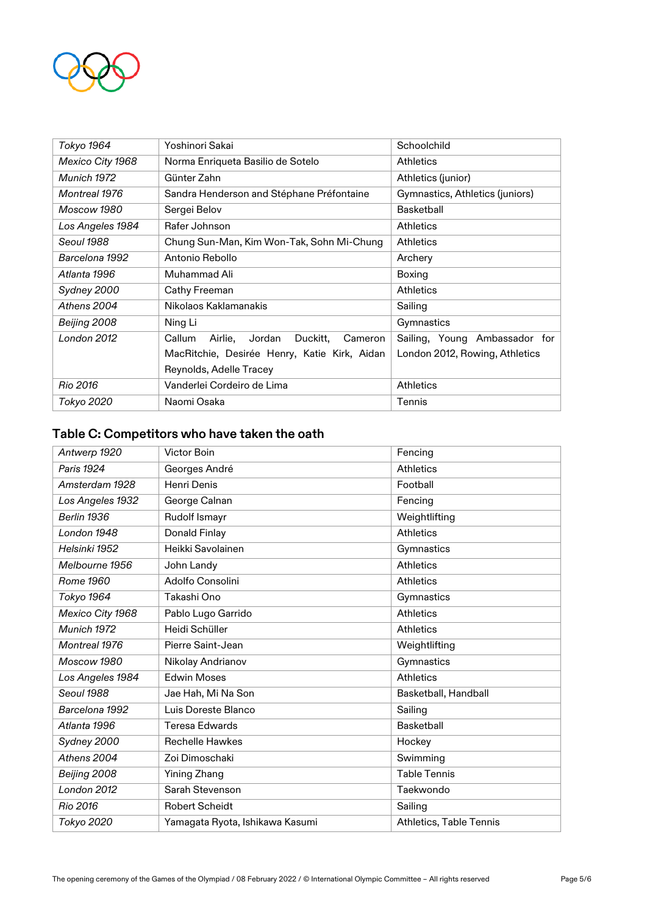

| Tokyo 1964       | Yoshinori Sakai                                 | Schoolchild                     |
|------------------|-------------------------------------------------|---------------------------------|
| Mexico City 1968 | Norma Enriqueta Basilio de Sotelo               | <b>Athletics</b>                |
| Munich 1972      | Günter Zahn                                     | Athletics (junior)              |
| Montreal 1976    | Sandra Henderson and Stéphane Préfontaine       | Gymnastics, Athletics (juniors) |
| Moscow 1980      | Sergei Belov                                    | <b>Basketball</b>               |
| Los Angeles 1984 | Rafer Johnson                                   | <b>Athletics</b>                |
| Seoul 1988       | Chung Sun-Man, Kim Won-Tak, Sohn Mi-Chung       | <b>Athletics</b>                |
| Barcelona 1992   | Antonio Rebollo                                 | Archery                         |
| Atlanta 1996     | Muhammad Ali                                    | Boxing                          |
| Sydney 2000      | Cathy Freeman                                   | <b>Athletics</b>                |
| Athens 2004      | Nikolaos Kaklamanakis                           | Sailing                         |
| Beijing 2008     | Ning Li                                         | Gymnastics                      |
| London 2012      | Duckitt,<br>Cameron<br>Callum<br>Airlie, Jordan | Sailing, Young Ambassador for   |
|                  | MacRitchie, Desirée Henry, Katie Kirk, Aidan    | London 2012, Rowing, Athletics  |
|                  | Reynolds, Adelle Tracey                         |                                 |
| Rio 2016         | Vanderlei Cordeiro de Lima                      | <b>Athletics</b>                |
| Tokyo 2020       | Naomi Osaka                                     | Tennis                          |

# **Table C: Competitors who have taken the oath**

| Antwerp 1920     | <b>Victor Boin</b>              | Fencing                 |
|------------------|---------------------------------|-------------------------|
| Paris 1924       | Georges André                   | <b>Athletics</b>        |
| Amsterdam 1928   | Henri Denis                     | Football                |
| Los Angeles 1932 | George Calnan                   | Fencing                 |
| Berlin 1936      | Rudolf Ismayr                   | Weightlifting           |
| London 1948      | Donald Finlay                   | <b>Athletics</b>        |
| Helsinki 1952    | Heikki Savolainen               | Gymnastics              |
| Melbourne 1956   | John Landy                      | <b>Athletics</b>        |
| Rome 1960        | Adolfo Consolini                | <b>Athletics</b>        |
| Tokyo 1964       | Takashi Ono                     | Gymnastics              |
| Mexico City 1968 | Pablo Lugo Garrido              | <b>Athletics</b>        |
| Munich 1972      | Heidi Schüller                  | <b>Athletics</b>        |
| Montreal 1976    | Pierre Saint-Jean               | Weightlifting           |
| Moscow 1980      | Nikolay Andrianov               | Gymnastics              |
| Los Angeles 1984 | <b>Edwin Moses</b>              | <b>Athletics</b>        |
| Seoul 1988       | Jae Hah, Mi Na Son              | Basketball, Handball    |
| Barcelona 1992   | Luis Doreste Blanco             | Sailing                 |
| Atlanta 1996     | <b>Teresa Edwards</b>           | Basketball              |
| Sydney 2000      | <b>Rechelle Hawkes</b>          | Hockey                  |
| Athens 2004      | Zoi Dimoschaki                  | Swimming                |
| Beijing 2008     | Yining Zhang                    | <b>Table Tennis</b>     |
| London 2012      | Sarah Stevenson                 | Taekwondo               |
| Rio 2016         | <b>Robert Scheidt</b>           | Sailing                 |
| Tokyo 2020       | Yamagata Ryota, Ishikawa Kasumi | Athletics, Table Tennis |